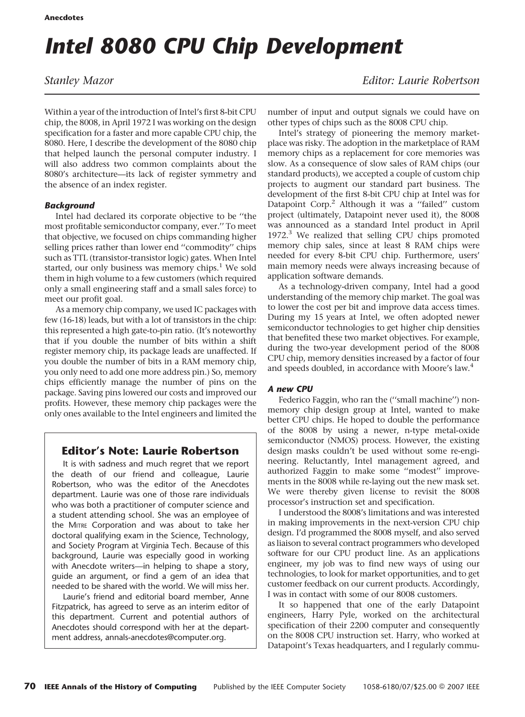# Intel 8080 CPU Chip Development

Within a year of the introduction of Intel's first 8-bit CPU chip, the 8008, in April 1972 I was working on the design specification for a faster and more capable CPU chip, the 8080. Here, I describe the development of the 8080 chip that helped launch the personal computer industry. I will also address two common complaints about the 8080's architecture—its lack of register symmetry and the absence of an index register.

# **Backaround**

Intel had declared its corporate objective to be ''the most profitable semiconductor company, ever.'' To meet that objective, we focused on chips commanding higher selling prices rather than lower end ''commodity'' chips such as TTL (transistor-transistor logic) gates. When Intel started, our only business was memory chips. $<sup>1</sup>$  We sold</sup> them in high volume to a few customers (which required only a small engineering staff and a small sales force) to meet our profit goal.

As a memory chip company, we used IC packages with few (16-18) leads, but with a lot of transistors in the chip: this represented a high gate-to-pin ratio. (It's noteworthy that if you double the number of bits within a shift register memory chip, its package leads are unaffected. If you double the number of bits in a RAM memory chip, you only need to add one more address pin.) So, memory chips efficiently manage the number of pins on the package. Saving pins lowered our costs and improved our profits. However, these memory chip packages were the only ones available to the Intel engineers and limited the

# Editor's Note: Laurie Robertson

It is with sadness and much regret that we report the death of our friend and colleague, Laurie Robertson, who was the editor of the Anecdotes department. Laurie was one of those rare individuals who was both a practitioner of computer science and a student attending school. She was an employee of the MITRE Corporation and was about to take her doctoral qualifying exam in the Science, Technology, and Society Program at Virginia Tech. Because of this background, Laurie was especially good in working with Anecdote writers—in helping to shape a story, guide an argument, or find a gem of an idea that needed to be shared with the world. We will miss her.

Laurie's friend and editorial board member, Anne Fitzpatrick, has agreed to serve as an interim editor of this department. Current and potential authors of Anecdotes should correspond with her at the department address, annals-anecdotes@computer.org.

Stanley Mazor **Editor:** Laurie Robertson

number of input and output signals we could have on other types of chips such as the 8008 CPU chip.

Intel's strategy of pioneering the memory marketplace was risky. The adoption in the marketplace of RAM memory chips as a replacement for core memories was slow. As a consequence of slow sales of RAM chips (our standard products), we accepted a couple of custom chip projects to augment our standard part business. The development of the first 8-bit CPU chip at Intel was for Datapoint Corp.<sup>2</sup> Although it was a "failed" custom project (ultimately, Datapoint never used it), the 8008 was announced as a standard Intel product in April  $1972<sup>3</sup>$  We realized that selling CPU chips promoted memory chip sales, since at least 8 RAM chips were needed for every 8-bit CPU chip. Furthermore, users' main memory needs were always increasing because of application software demands.

As a technology-driven company, Intel had a good understanding of the memory chip market. The goal was to lower the cost per bit and improve data access times. During my 15 years at Intel, we often adopted newer semiconductor technologies to get higher chip densities that benefited these two market objectives. For example, during the two-year development period of the 8008 CPU chip, memory densities increased by a factor of four and speeds doubled, in accordance with Moore's law.<sup>4</sup>

# A new CPU

Federico Faggin, who ran the (''small machine'') nonmemory chip design group at Intel, wanted to make better CPU chips. He hoped to double the performance of the 8008 by using a newer, n-type metal-oxide semiconductor (NMOS) process. However, the existing design masks couldn't be used without some re-engineering. Reluctantly, Intel management agreed, and authorized Faggin to make some ''modest'' improvements in the 8008 while re-laying out the new mask set. We were thereby given license to revisit the 8008 processor's instruction set and specification.

I understood the 8008's limitations and was interested in making improvements in the next-version CPU chip design. I'd programmed the 8008 myself, and also served as liaison to several contract programmers who developed software for our CPU product line. As an applications engineer, my job was to find new ways of using our technologies, to look for market opportunities, and to get customer feedback on our current products. Accordingly, I was in contact with some of our 8008 customers.

It so happened that one of the early Datapoint engineers, Harry Pyle, worked on the architectural specification of their 2200 computer and consequently on the 8008 CPU instruction set. Harry, who worked at Datapoint's Texas headquarters, and I regularly commu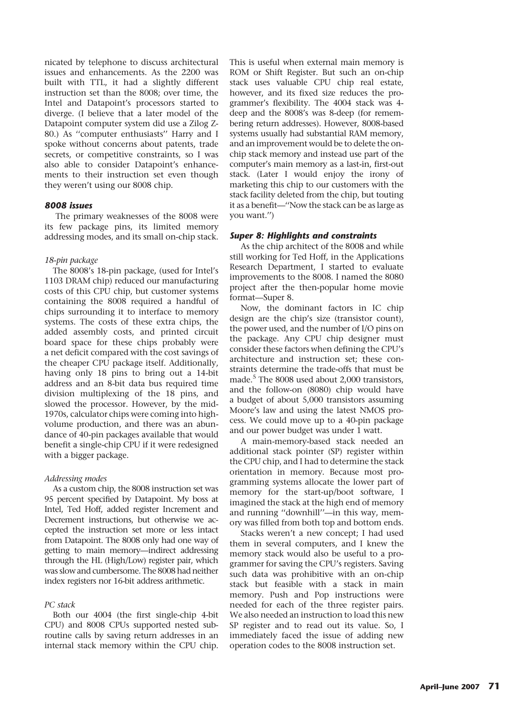nicated by telephone to discuss architectural issues and enhancements. As the 2200 was built with TTL, it had a slightly different instruction set than the 8008; over time, the Intel and Datapoint's processors started to diverge. (I believe that a later model of the Datapoint computer system did use a Zilog Z-80.) As ''computer enthusiasts'' Harry and I spoke without concerns about patents, trade secrets, or competitive constraints, so I was also able to consider Datapoint's enhancements to their instruction set even though they weren't using our 8008 chip.

#### 8008 issues

The primary weaknesses of the 8008 were its few package pins, its limited memory addressing modes, and its small on-chip stack.

#### 18-pin package

The 8008's 18-pin package, (used for Intel's 1103 DRAM chip) reduced our manufacturing costs of this CPU chip, but customer systems containing the 8008 required a handful of chips surrounding it to interface to memory systems. The costs of these extra chips, the added assembly costs, and printed circuit board space for these chips probably were a net deficit compared with the cost savings of the cheaper CPU package itself. Additionally, having only 18 pins to bring out a 14-bit address and an 8-bit data bus required time division multiplexing of the 18 pins, and slowed the processor. However, by the mid-1970s, calculator chips were coming into highvolume production, and there was an abundance of 40-pin packages available that would benefit a single-chip CPU if it were redesigned with a bigger package.

#### Addressing modes

As a custom chip, the 8008 instruction set was 95 percent specified by Datapoint. My boss at Intel, Ted Hoff, added register Increment and Decrement instructions, but otherwise we accepted the instruction set more or less intact from Datapoint. The 8008 only had one way of getting to main memory—indirect addressing through the HL (High/Low) register pair, which was slow and cumbersome. The 8008 had neither index registers nor 16-bit address arithmetic.

#### PC stack

Both our 4004 (the first single-chip 4-bit CPU) and 8008 CPUs supported nested subroutine calls by saving return addresses in an internal stack memory within the CPU chip. This is useful when external main memory is ROM or Shift Register. But such an on-chip stack uses valuable CPU chip real estate, however, and its fixed size reduces the programmer's flexibility. The 4004 stack was 4 deep and the 8008's was 8-deep (for remembering return addresses). However, 8008-based systems usually had substantial RAM memory, and an improvement would be to delete the onchip stack memory and instead use part of the computer's main memory as a last-in, first-out stack. (Later I would enjoy the irony of marketing this chip to our customers with the stack facility deleted from the chip, but touting it as a benefit—''Now the stack can be as large as you want.'')

#### Super 8: Highlights and constraints

As the chip architect of the 8008 and while still working for Ted Hoff, in the Applications Research Department, I started to evaluate improvements to the 8008. I named the 8080 project after the then-popular home movie format—Super 8.

Now, the dominant factors in IC chip design are the chip's size (transistor count), the power used, and the number of I/O pins on the package. Any CPU chip designer must consider these factors when defining the CPU's architecture and instruction set; these constraints determine the trade-offs that must be made.<sup>5</sup> The 8008 used about 2,000 transistors, and the follow-on (8080) chip would have a budget of about 5,000 transistors assuming Moore's law and using the latest NMOS process. We could move up to a 40-pin package and our power budget was under 1 watt.

A main-memory-based stack needed an additional stack pointer (SP) register within the CPU chip, and I had to determine the stack orientation in memory. Because most programming systems allocate the lower part of memory for the start-up/boot software, I imagined the stack at the high end of memory and running ''downhill''—in this way, memory was filled from both top and bottom ends.

Stacks weren't a new concept; I had used them in several computers, and I knew the memory stack would also be useful to a programmer for saving the CPU's registers. Saving such data was prohibitive with an on-chip stack but feasible with a stack in main memory. Push and Pop instructions were needed for each of the three register pairs. We also needed an instruction to load this new SP register and to read out its value. So, I immediately faced the issue of adding new operation codes to the 8008 instruction set.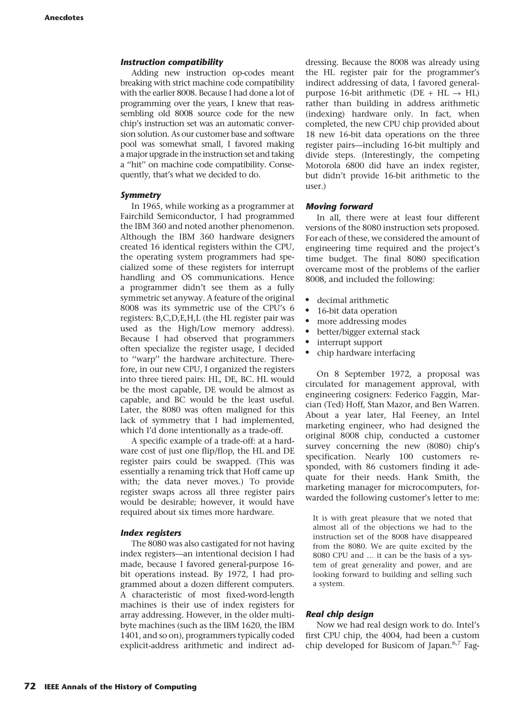### Instruction compatibility

Adding new instruction op-codes meant breaking with strict machine code compatibility with the earlier 8008. Because I had done a lot of programming over the years, I knew that reassembling old 8008 source code for the new chip's instruction set was an automatic conversion solution. As our customer base and software pool was somewhat small, I favored making a major upgrade in the instruction set and taking a ''hit'' on machine code compatibility. Consequently, that's what we decided to do.

#### Symmetry

In 1965, while working as a programmer at Fairchild Semiconductor, I had programmed the IBM 360 and noted another phenomenon. Although the IBM 360 hardware designers created 16 identical registers within the CPU, the operating system programmers had specialized some of these registers for interrupt handling and OS communications. Hence a programmer didn't see them as a fully symmetric set anyway. A feature of the original 8008 was its symmetric use of the CPU's 6 registers: B,C,D,E,H,L (the HL register pair was used as the High/Low memory address). Because I had observed that programmers often specialize the register usage, I decided to ''warp'' the hardware architecture. Therefore, in our new CPU, I organized the registers into three tiered pairs: HL, DE, BC. HL would be the most capable, DE would be almost as capable, and BC would be the least useful. Later, the 8080 was often maligned for this lack of symmetry that I had implemented, which I'd done intentionally as a trade-off.

A specific example of a trade-off: at a hardware cost of just one flip/flop, the HL and DE register pairs could be swapped. (This was essentially a renaming trick that Hoff came up with; the data never moves.) To provide register swaps across all three register pairs would be desirable; however, it would have required about six times more hardware.

#### Index registers

The 8080 was also castigated for not having index registers—an intentional decision I had made, because I favored general-purpose 16 bit operations instead. By 1972, I had programmed about a dozen different computers. A characteristic of most fixed-word-length machines is their use of index registers for array addressing. However, in the older multibyte machines (such as the IBM 1620, the IBM 1401, and so on), programmers typically coded explicit-address arithmetic and indirect addressing. Because the 8008 was already using the HL register pair for the programmer's indirect addressing of data, I favored generalpurpose 16-bit arithmetic (DE + HL  $\rightarrow$  HL) rather than building in address arithmetic (indexing) hardware only. In fact, when completed, the new CPU chip provided about 18 new 16-bit data operations on the three register pairs—including 16-bit multiply and divide steps. (Interestingly, the competing Motorola 6800 did have an index register, but didn't provide 16-bit arithmetic to the user.)

#### Moving forward

In all, there were at least four different versions of the 8080 instruction sets proposed. For each of these, we considered the amount of engineering time required and the project's time budget. The final 8080 specification overcame most of the problems of the earlier 8008, and included the following:

- decimal arithmetic
- 16-bit data operation
- more addressing modes
- $\bullet$  better/bigger external stack
- interrupt support
- chip hardware interfacing

On 8 September 1972, a proposal was circulated for management approval, with engineering cosigners: Federico Faggin, Marcian (Ted) Hoff, Stan Mazor, and Ben Warren. About a year later, Hal Feeney, an Intel marketing engineer, who had designed the original 8008 chip, conducted a customer survey concerning the new (8080) chip's specification. Nearly 100 customers responded, with 86 customers finding it adequate for their needs. Hank Smith, the marketing manager for microcomputers, forwarded the following customer's letter to me:

It is with great pleasure that we noted that almost all of the objections we had to the instruction set of the 8008 have disappeared from the 8080. We are quite excited by the 8080 CPU and … it can be the basis of a system of great generality and power, and are looking forward to building and selling such a system.

#### Real chip design

Now we had real design work to do. Intel's first CPU chip, the 4004, had been a custom chip developed for Busicom of Japan. $6,7$  Fag